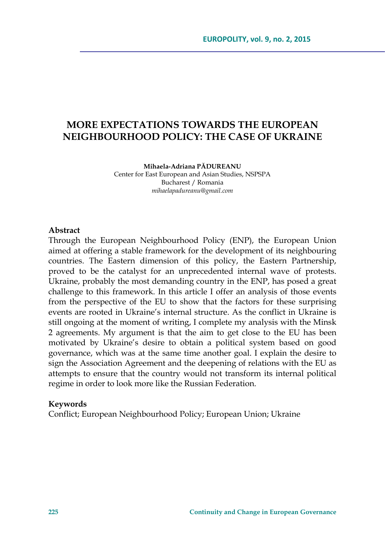# **MORE EXPECTATIONS TOWARDS THE EUROPEAN NEIGHBOURHOOD POLICY: THE CASE OF UKRAINE**

**Mihaela-Adriana PĂDUREANU** 

Center for East European and Asian Studies, NSPSPA Bucharest / Romania *mihaelapadureanu@gmail.com* 

#### **Abstract**

Through the European Neighbourhood Policy (ENP), the European Union aimed at offering a stable framework for the development of its neighbouring countries. The Eastern dimension of this policy, the Eastern Partnership, proved to be the catalyst for an unprecedented internal wave of protests. Ukraine, probably the most demanding country in the ENP, has posed a great challenge to this framework. In this article I offer an analysis of those events from the perspective of the EU to show that the factors for these surprising events are rooted in Ukraine's internal structure. As the conflict in Ukraine is still ongoing at the moment of writing, I complete my analysis with the Minsk 2 agreements. My argument is that the aim to get close to the EU has been motivated by Ukraine's desire to obtain a political system based on good governance, which was at the same time another goal. I explain the desire to sign the Association Agreement and the deepening of relations with the EU as attempts to ensure that the country would not transform its internal political regime in order to look more like the Russian Federation.

#### **Keywords**

Conflict; European Neighbourhood Policy; European Union; Ukraine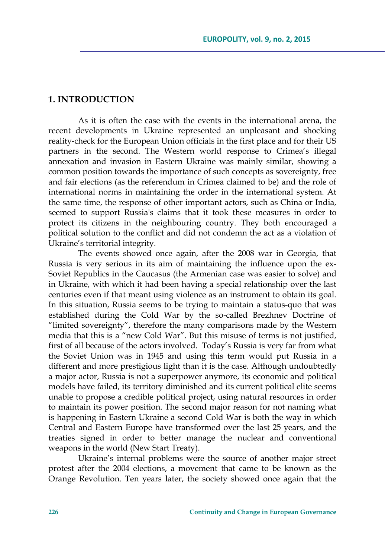#### **1. INTRODUCTION**

As it is often the case with the events in the international arena, the recent developments in Ukraine represented an unpleasant and shocking reality-check for the European Union officials in the first place and for their US partners in the second. The Western world response to Crimea's illegal annexation and invasion in Eastern Ukraine was mainly similar, showing a common position towards the importance of such concepts as sovereignty, free and fair elections (as the referendum in Crimea claimed to be) and the role of international norms in maintaining the order in the international system. At the same time, the response of other important actors, such as China or India, seemed to support Russia's claims that it took these measures in order to protect its citizens in the neighbouring country. They both encouraged a political solution to the conflict and did not condemn the act as a violation of Ukraine's territorial integrity.

The events showed once again, after the 2008 war in Georgia, that Russia is very serious in its aim of maintaining the influence upon the ex-Soviet Republics in the Caucasus (the Armenian case was easier to solve) and in Ukraine, with which it had been having a special relationship over the last centuries even if that meant using violence as an instrument to obtain its goal. In this situation, Russia seems to be trying to maintain a status-quo that was established during the Cold War by the so-called Brezhnev Doctrine of "limited sovereignty", therefore the many comparisons made by the Western media that this is a "new Cold War". But this misuse of terms is not justified, first of all because of the actors involved. Today's Russia is very far from what the Soviet Union was in 1945 and using this term would put Russia in a different and more prestigious light than it is the case. Although undoubtedly a major actor, Russia is not a superpower anymore, its economic and political models have failed, its territory diminished and its current political elite seems unable to propose a credible political project, using natural resources in order to maintain its power position. The second major reason for not naming what is happening in Eastern Ukraine a second Cold War is both the way in which Central and Eastern Europe have transformed over the last 25 years, and the treaties signed in order to better manage the nuclear and conventional weapons in the world (New Start Treaty).

Ukraine's internal problems were the source of another major street protest after the 2004 elections, a movement that came to be known as the Orange Revolution. Ten years later, the society showed once again that the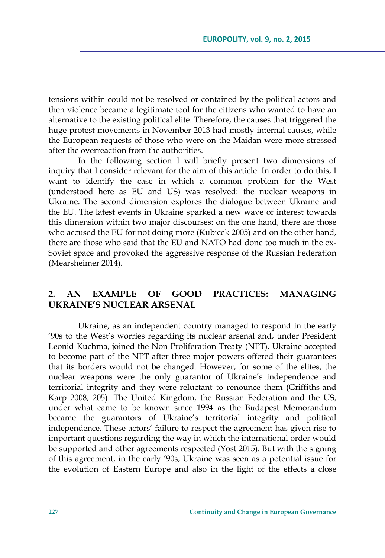tensions within could not be resolved or contained by the political actors and then violence became a legitimate tool for the citizens who wanted to have an alternative to the existing political elite. Therefore, the causes that triggered the huge protest movements in November 2013 had mostly internal causes, while the European requests of those who were on the Maidan were more stressed after the overreaction from the authorities.

In the following section I will briefly present two dimensions of inquiry that I consider relevant for the aim of this article. In order to do this, I want to identify the case in which a common problem for the West (understood here as EU and US) was resolved: the nuclear weapons in Ukraine. The second dimension explores the dialogue between Ukraine and the EU. The latest events in Ukraine sparked a new wave of interest towards this dimension within two major discourses: on the one hand, there are those who accused the EU for not doing more (Kubicek 2005) and on the other hand, there are those who said that the EU and NATO had done too much in the ex-Soviet space and provoked the aggressive response of the Russian Federation (Mearsheimer 2014).

## **2. AN EXAMPLE OF GOOD PRACTICES: MANAGING UKRAINE'S NUCLEAR ARSENAL**

Ukraine, as an independent country managed to respond in the early '90s to the West's worries regarding its nuclear arsenal and, under President Leonid Kuchma, joined the Non-Proliferation Treaty (NPT). Ukraine accepted to become part of the NPT after three major powers offered their guarantees that its borders would not be changed. However, for some of the elites, the nuclear weapons were the only guarantor of Ukraine's independence and territorial integrity and they were reluctant to renounce them (Griffiths and Karp 2008, 205). The United Kingdom, the Russian Federation and the US, under what came to be known since 1994 as the Budapest Memorandum became the guarantors of Ukraine's territorial integrity and political independence. These actors' failure to respect the agreement has given rise to important questions regarding the way in which the international order would be supported and other agreements respected (Yost 2015). But with the signing of this agreement, in the early '90s, Ukraine was seen as a potential issue for the evolution of Eastern Europe and also in the light of the effects a close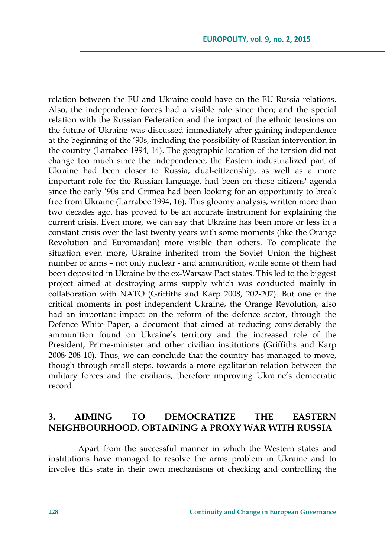relation between the EU and Ukraine could have on the EU-Russia relations. Also, the independence forces had a visible role since then; and the special relation with the Russian Federation and the impact of the ethnic tensions on the future of Ukraine was discussed immediately after gaining independence at the beginning of the '90s, including the possibility of Russian intervention in the country (Larrabee 1994, 14). The geographic location of the tension did not change too much since the independence; the Eastern industrialized part of Ukraine had been closer to Russia; dual-citizenship, as well as a more important role for the Russian language, had been on those citizens' agenda since the early '90s and Crimea had been looking for an opportunity to break free from Ukraine (Larrabee 1994, 16). This gloomy analysis, written more than two decades ago, has proved to be an accurate instrument for explaining the current crisis. Even more, we can say that Ukraine has been more or less in a constant crisis over the last twenty years with some moments (like the Orange Revolution and Euromaidan) more visible than others. To complicate the situation even more, Ukraine inherited from the Soviet Union the highest number of arms – not only nuclear - and ammunition, while some of them had been deposited in Ukraine by the ex-Warsaw Pact states. This led to the biggest project aimed at destroying arms supply which was conducted mainly in collaboration with NATO (Griffiths and Karp 2008, 202-207). But one of the critical moments in post independent Ukraine, the Orange Revolution, also had an important impact on the reform of the defence sector, through the Defence White Paper, a document that aimed at reducing considerably the ammunition found on Ukraine's territory and the increased role of the President, Prime-minister and other civilian institutions (Griffiths and Karp 2008, 208-10). Thus, we can conclude that the country has managed to move, though through small steps, towards a more egalitarian relation between the military forces and the civilians, therefore improving Ukraine's democratic record.

# **3. AIMING TO DEMOCRATIZE THE EASTERN NEIGHBOURHOOD. OBTAINING A PROXY WAR WITH RUSSIA**

Apart from the successful manner in which the Western states and institutions have managed to resolve the arms problem in Ukraine and to involve this state in their own mechanisms of checking and controlling the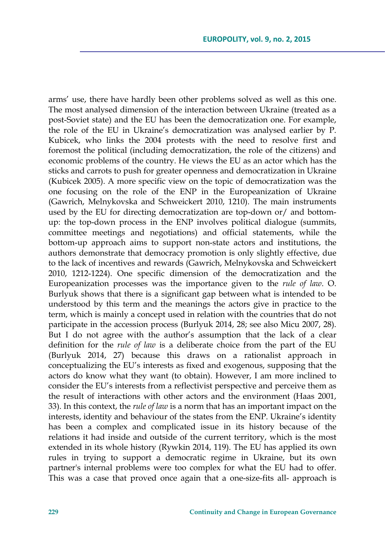arms' use, there have hardly been other problems solved as well as this one. The most analysed dimension of the interaction between Ukraine (treated as a post-Soviet state) and the EU has been the democratization one. For example, the role of the EU in Ukraine's democratization was analysed earlier by P. Kubicek, who links the 2004 protests with the need to resolve first and foremost the political (including democratization, the role of the citizens) and economic problems of the country. He views the EU as an actor which has the sticks and carrots to push for greater openness and democratization in Ukraine (Kubicek 2005). A more specific view on the topic of democratization was the one focusing on the role of the ENP in the Europeanization of Ukraine (Gawrich, Melnykovska and Schweickert 2010, 1210). The main instruments used by the EU for directing democratization are top-down or/ and bottomup: the top-down process in the ENP involves political dialogue (summits, committee meetings and negotiations) and official statements, while the bottom-up approach aims to support non-state actors and institutions, the authors demonstrate that democracy promotion is only slightly effective, due to the lack of incentives and rewards (Gawrich, Melnykovska and Schweickert 2010, 1212-1224). One specific dimension of the democratization and the Europeanization processes was the importance given to the *rule of law*. O. Burlyuk shows that there is a significant gap between what is intended to be understood by this term and the meanings the actors give in practice to the term, which is mainly a concept used in relation with the countries that do not participate in the accession process (Burlyuk 2014, 28; see also Micu 2007, 28). But I do not agree with the author's assumption that the lack of a clear definition for the *rule of law* is a deliberate choice from the part of the EU (Burlyuk 2014, 27) because this draws on a rationalist approach in conceptualizing the EU's interests as fixed and exogenous, supposing that the actors do know what they want (to obtain). However, I am more inclined to consider the EU's interests from a reflectivist perspective and perceive them as the result of interactions with other actors and the environment (Haas 2001, 33). In this context, the *rule of law* is a norm that has an important impact on the interests, identity and behaviour of the states from the ENP. Ukraine's identity has been a complex and complicated issue in its history because of the relations it had inside and outside of the current territory, which is the most extended in its whole history (Rywkin 2014, 119). The EU has applied its own rules in trying to support a democratic regime in Ukraine, but its own partner's internal problems were too complex for what the EU had to offer. This was a case that proved once again that a one-size-fits all- approach is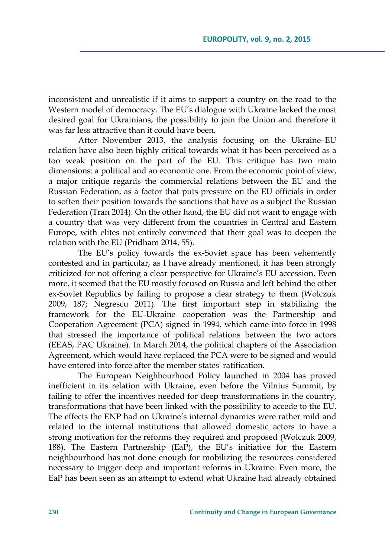inconsistent and unrealistic if it aims to support a country on the road to the Western model of democracy. The EU's dialogue with Ukraine lacked the most desired goal for Ukrainians, the possibility to join the Union and therefore it was far less attractive than it could have been.

After November 2013, the analysis focusing on the Ukraine–EU relation have also been highly critical towards what it has been perceived as a too weak position on the part of the EU. This critique has two main dimensions: a political and an economic one. From the economic point of view, a major critique regards the commercial relations between the EU and the Russian Federation, as a factor that puts pressure on the EU officials in order to soften their position towards the sanctions that have as a subject the Russian Federation (Tran 2014). On the other hand, the EU did not want to engage with a country that was very different from the countries in Central and Eastern Europe, with elites not entirely convinced that their goal was to deepen the relation with the EU (Pridham 2014, 55).

The EU's policy towards the ex-Soviet space has been vehemently contested and in particular, as I have already mentioned, it has been strongly criticized for not offering a clear perspective for Ukraine's EU accession. Even more, it seemed that the EU mostly focused on Russia and left behind the other ex-Soviet Republics by failing to propose a clear strategy to them (Wolczuk 2009, 187; Negrescu 2011). The first important step in stabilizing the framework for the EU-Ukraine cooperation was the Partnership and Cooperation Agreement (PCA) signed in 1994, which came into force in 1998 that stressed the importance of political relations between the two actors (EEAS, PAC Ukraine). In March 2014, the political chapters of the Association Agreement, which would have replaced the PCA were to be signed and would have entered into force after the member states' ratification.

The European Neighbourhood Policy launched in 2004 has proved inefficient in its relation with Ukraine, even before the Vilnius Summit, by failing to offer the incentives needed for deep transformations in the country, transformations that have been linked with the possibility to accede to the EU. The effects the ENP had on Ukraine's internal dynamics were rather mild and related to the internal institutions that allowed domestic actors to have a strong motivation for the reforms they required and proposed (Wolczuk 2009, 188). The Eastern Partnership (EaP), the EU's initiative for the Eastern neighbourhood has not done enough for mobilizing the resources considered necessary to trigger deep and important reforms in Ukraine. Even more, the EaP has been seen as an attempt to extend what Ukraine had already obtained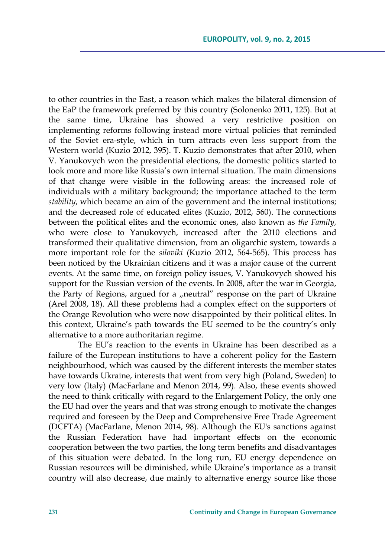to other countries in the East, a reason which makes the bilateral dimension of the EaP the framework preferred by this country (Solonenko 2011, 125). But at the same time, Ukraine has showed a very restrictive position on implementing reforms following instead more virtual policies that reminded of the Soviet era-style, which in turn attracts even less support from the Western world (Kuzio 2012, 395). T. Kuzio demonstrates that after 2010, when V. Yanukovych won the presidential elections, the domestic politics started to look more and more like Russia's own internal situation. The main dimensions of that change were visible in the following areas: the increased role of individuals with a military background; the importance attached to the term *stability*, which became an aim of the government and the internal institutions; and the decreased role of educated elites (Kuzio, 2012, 560). The connections between the political elites and the economic ones, also known as *the Family,* who were close to Yanukovych, increased after the 2010 elections and transformed their qualitative dimension, from an oligarchic system, towards a more important role for the *siloviki* (Kuzio 2012, 564-565). This process has been noticed by the Ukrainian citizens and it was a major cause of the current events. At the same time, on foreign policy issues, V. Yanukovych showed his support for the Russian version of the events. In 2008, after the war in Georgia, the Party of Regions, argued for a "neutral" response on the part of Ukraine (Arel 2008, 18). All these problems had a complex effect on the supporters of the Orange Revolution who were now disappointed by their political elites. In this context, Ukraine's path towards the EU seemed to be the country's only alternative to a more authoritarian regime.

The EU's reaction to the events in Ukraine has been described as a failure of the European institutions to have a coherent policy for the Eastern neighbourhood, which was caused by the different interests the member states have towards Ukraine, interests that went from very high (Poland, Sweden) to very low (Italy) (MacFarlane and Menon 2014, 99). Also, these events showed the need to think critically with regard to the Enlargement Policy, the only one the EU had over the years and that was strong enough to motivate the changes required and foreseen by the Deep and Comprehensive Free Trade Agreement (DCFTA) (MacFarlane, Menon 2014, 98). Although the EU's sanctions against the Russian Federation have had important effects on the economic cooperation between the two parties, the long term benefits and disadvantages of this situation were debated. In the long run, EU energy dependence on Russian resources will be diminished, while Ukraine's importance as a transit country will also decrease, due mainly to alternative energy source like those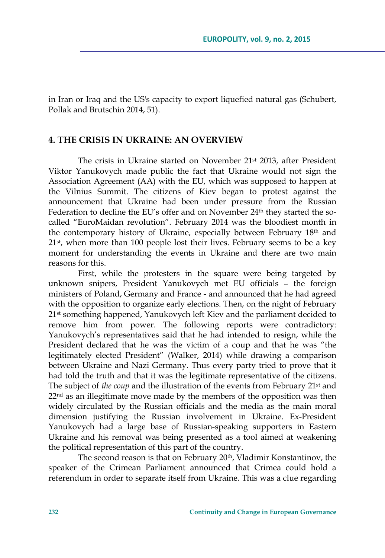in Iran or Iraq and the US's capacity to export liquefied natural gas (Schubert, Pollak and Brutschin 2014, 51).

#### **4. THE CRISIS IN UKRAINE: AN OVERVIEW**

The crisis in Ukraine started on November 21st 2013, after President Viktor Yanukovych made public the fact that Ukraine would not sign the Association Agreement (AA) with the EU, which was supposed to happen at the Vilnius Summit. The citizens of Kiev began to protest against the announcement that Ukraine had been under pressure from the Russian Federation to decline the EU's offer and on November 24<sup>th</sup> they started the socalled "EuroMaidan revolution". February 2014 was the bloodiest month in the contemporary history of Ukraine, especially between February 18<sup>th</sup> and 21<sup>st</sup>, when more than 100 people lost their lives. February seems to be a key moment for understanding the events in Ukraine and there are two main reasons for this.

First, while the protesters in the square were being targeted by unknown snipers, President Yanukovych met EU officials – the foreign ministers of Poland, Germany and France - and announced that he had agreed with the opposition to organize early elections. Then, on the night of February 21<sup>st</sup> something happened, Yanukovych left Kiev and the parliament decided to remove him from power. The following reports were contradictory: Yanukovych's representatives said that he had intended to resign, while the President declared that he was the victim of a coup and that he was "the legitimately elected President" (Walker, 2014) while drawing a comparison between Ukraine and Nazi Germany. Thus every party tried to prove that it had told the truth and that it was the legitimate representative of the citizens. The subject of *the coup* and the illustration of the events from February 21<sup>st</sup> and 22<sup>nd</sup> as an illegitimate move made by the members of the opposition was then widely circulated by the Russian officials and the media as the main moral dimension justifying the Russian involvement in Ukraine. Ex-President Yanukovych had a large base of Russian-speaking supporters in Eastern Ukraine and his removal was being presented as a tool aimed at weakening the political representation of this part of the country.

The second reason is that on February 20th, Vladimir Konstantinov, the speaker of the Crimean Parliament announced that Crimea could hold a referendum in order to separate itself from Ukraine. This was a clue regarding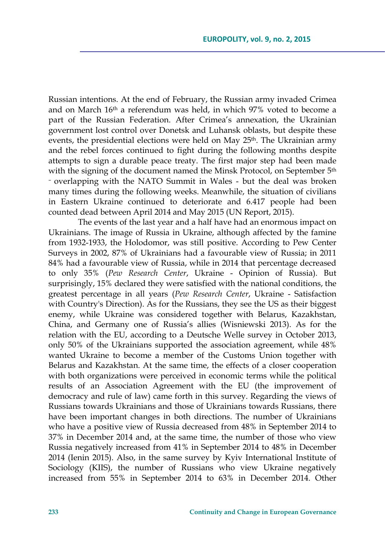Russian intentions. At the end of February, the Russian army invaded Crimea and on March 16th a referendum was held, in which 97% voted to become a part of the Russian Federation. After Crimea's annexation, the Ukrainian government lost control over Donetsk and Luhansk oblasts, but despite these events, the presidential elections were held on May 25<sup>th</sup>. The Ukrainian army and the rebel forces continued to fight during the following months despite attempts to sign a durable peace treaty. The first major step had been made with the signing of the document named the Minsk Protocol, on September 5<sup>th</sup> – overlapping with the NATO Summit in Wales - but the deal was broken many times during the following weeks. Meanwhile, the situation of civilians in Eastern Ukraine continued to deteriorate and 6.417 people had been counted dead between April 2014 and May 2015 (UN Report, 2015).

The events of the last year and a half have had an enormous impact on Ukrainians. The image of Russia in Ukraine, although affected by the famine from 1932-1933, the Holodomor, was still positive. According to Pew Center Surveys in 2002, 87% of Ukrainians had a favourable view of Russia; in 2011 84% had a favourable view of Russia, while in 2014 that percentage decreased to only 35% (*Pew Research Center*, Ukraine - Opinion of Russia). But surprisingly, 15% declared they were satisfied with the national conditions, the greatest percentage in all years (*Pew Research Center*, Ukraine - Satisfaction with Country's Direction). As for the Russians, they see the US as their biggest enemy, while Ukraine was considered together with Belarus, Kazakhstan, China, and Germany one of Russia's allies (Wisniewski 2013). As for the relation with the EU, according to a Deutsche Welle survey in October 2013, only 50% of the Ukrainians supported the association agreement, while 48% wanted Ukraine to become a member of the Customs Union together with Belarus and Kazakhstan. At the same time, the effects of a closer cooperation with both organizations were perceived in economic terms while the political results of an Association Agreement with the EU (the improvement of democracy and rule of law) came forth in this survey. Regarding the views of Russians towards Ukrainians and those of Ukrainians towards Russians, there have been important changes in both directions. The number of Ukrainians who have a positive view of Russia decreased from 48% in September 2014 to 37% in December 2014 and, at the same time, the number of those who view Russia negatively increased from 41% in September 2014 to 48% in December 2014 (Ienin 2015). Also, in the same survey by Kyiv International Institute of Sociology (KIIS), the number of Russians who view Ukraine negatively increased from 55% in September 2014 to 63% in December 2014. Other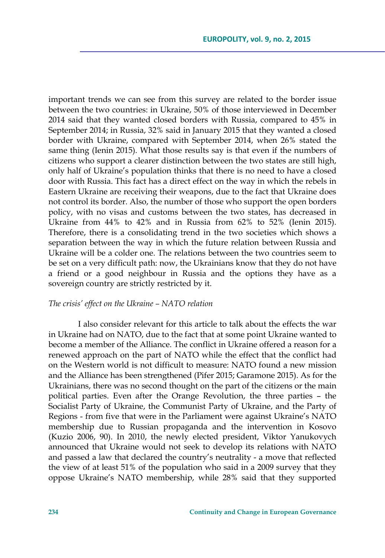important trends we can see from this survey are related to the border issue between the two countries: in Ukraine, 50% of those interviewed in December 2014 said that they wanted closed borders with Russia, compared to 45% in September 2014; in Russia, 32% said in January 2015 that they wanted a closed border with Ukraine, compared with September 2014, when 26% stated the same thing (Ienin 2015). What those results say is that even if the numbers of citizens who support a clearer distinction between the two states are still high, only half of Ukraine's population thinks that there is no need to have a closed door with Russia. This fact has a direct effect on the way in which the rebels in Eastern Ukraine are receiving their weapons, due to the fact that Ukraine does not control its border. Also, the number of those who support the open borders policy, with no visas and customs between the two states, has decreased in Ukraine from 44% to 42% and in Russia from 62% to 52% (Ienin 2015). Therefore, there is a consolidating trend in the two societies which shows a separation between the way in which the future relation between Russia and Ukraine will be a colder one. The relations between the two countries seem to be set on a very difficult path: now, the Ukrainians know that they do not have a friend or a good neighbour in Russia and the options they have as a sovereign country are strictly restricted by it.

#### *The crisis' effect on the Ukraine – NATO relation*

I also consider relevant for this article to talk about the effects the war in Ukraine had on NATO, due to the fact that at some point Ukraine wanted to become a member of the Alliance. The conflict in Ukraine offered a reason for a renewed approach on the part of NATO while the effect that the conflict had on the Western world is not difficult to measure: NATO found a new mission and the Alliance has been strengthened (Pifer 2015; Garamone 2015). As for the Ukrainians, there was no second thought on the part of the citizens or the main political parties. Even after the Orange Revolution, the three parties – the Socialist Party of Ukraine, the Communist Party of Ukraine, and the Party of Regions - from five that were in the Parliament were against Ukraine's NATO membership due to Russian propaganda and the intervention in Kosovo (Kuzio 2006, 90). In 2010, the newly elected president, Viktor Yanukovych announced that Ukraine would not seek to develop its relations with NATO and passed a law that declared the country's neutrality - a move that reflected the view of at least 51% of the population who said in a 2009 survey that they oppose Ukraine's NATO membership, while 28% said that they supported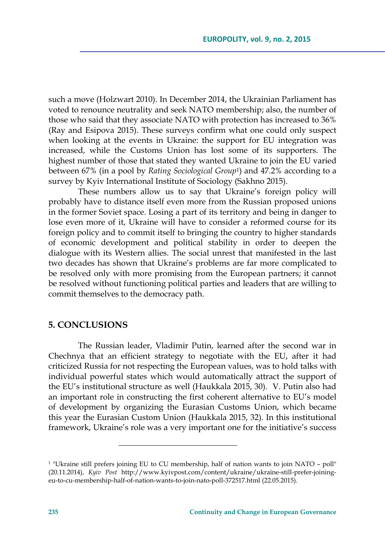such a move (Holzwart 2010). In December 2014, the Ukrainian Parliament has voted to renounce neutrality and seek NATO membership; also, the number of those who said that they associate NATO with protection has increased to 36% (Ray and Esipova 2015). These surveys confirm what one could only suspect when looking at the events in Ukraine: the support for EU integration was increased, while the Customs Union has lost some of its supporters. The highest number of those that stated they wanted Ukraine to join the EU varied between 67% (in a pool by *Rating Sociological Group*1) and 47.2% according to a survey by Kyiv International Institute of Sociology (Sakhno 2015).

These numbers allow us to say that Ukraine's foreign policy will probably have to distance itself even more from the Russian proposed unions in the former Soviet space. Losing a part of its territory and being in danger to lose even more of it, Ukraine will have to consider a reformed course for its foreign policy and to commit itself to bringing the country to higher standards of economic development and political stability in order to deepen the dialogue with its Western allies. The social unrest that manifested in the last two decades has shown that Ukraine's problems are far more complicated to be resolved only with more promising from the European partners; it cannot be resolved without functioning political parties and leaders that are willing to commit themselves to the democracy path.

### **5. CONCLUSIONS**

The Russian leader, Vladimir Putin, learned after the second war in Chechnya that an efficient strategy to negotiate with the EU, after it had criticized Russia for not respecting the European values, was to hold talks with individual powerful states which would automatically attract the support of the EU's institutional structure as well (Haukkala 2015, 30). V. Putin also had an important role in constructing the first coherent alternative to EU's model of development by organizing the Eurasian Customs Union, which became this year the Eurasian Custom Union (Haukkala 2015, 32). In this institutional framework, Ukraine's role was a very important one for the initiative's success

<u> 1989 - Johann Barn, mars eta inperiodo</u>

<sup>1 &</sup>quot;Ukraine still prefers joining EU to CU membership, half of nation wants to join NATO – poll" (20.11.2014), *Kyiv Post* http://www.kyivpost.com/content/ukraine/ukraine-still-prefer-joiningeu-to-cu-membership-half-of-nation-wants-to-join-nato-poll-372517.html (22.05.2015).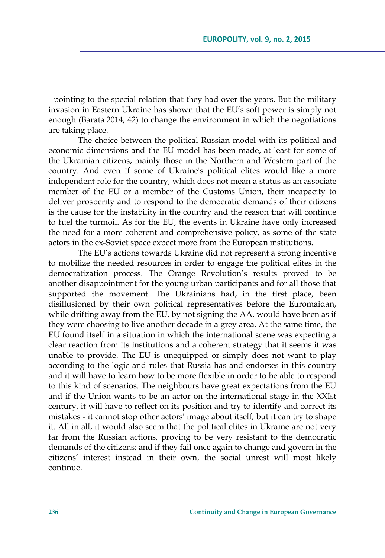- pointing to the special relation that they had over the years. But the military invasion in Eastern Ukraine has shown that the EU's soft power is simply not enough (Barata 2014, 42) to change the environment in which the negotiations are taking place.

The choice between the political Russian model with its political and economic dimensions and the EU model has been made, at least for some of the Ukrainian citizens, mainly those in the Northern and Western part of the country. And even if some of Ukraine's political elites would like a more independent role for the country, which does not mean a status as an associate member of the EU or a member of the Customs Union, their incapacity to deliver prosperity and to respond to the democratic demands of their citizens is the cause for the instability in the country and the reason that will continue to fuel the turmoil. As for the EU, the events in Ukraine have only increased the need for a more coherent and comprehensive policy, as some of the state actors in the ex-Soviet space expect more from the European institutions.

The EU's actions towards Ukraine did not represent a strong incentive to mobilize the needed resources in order to engage the political elites in the democratization process. The Orange Revolution's results proved to be another disappointment for the young urban participants and for all those that supported the movement. The Ukrainians had, in the first place, been disillusioned by their own political representatives before the Euromaidan, while drifting away from the EU, by not signing the AA, would have been as if they were choosing to live another decade in a grey area. At the same time, the EU found itself in a situation in which the international scene was expecting a clear reaction from its institutions and a coherent strategy that it seems it was unable to provide. The EU is unequipped or simply does not want to play according to the logic and rules that Russia has and endorses in this country and it will have to learn how to be more flexible in order to be able to respond to this kind of scenarios. The neighbours have great expectations from the EU and if the Union wants to be an actor on the international stage in the XXIst century, it will have to reflect on its position and try to identify and correct its mistakes - it cannot stop other actors' image about itself, but it can try to shape it. All in all, it would also seem that the political elites in Ukraine are not very far from the Russian actions, proving to be very resistant to the democratic demands of the citizens; and if they fail once again to change and govern in the citizens' interest instead in their own, the social unrest will most likely continue.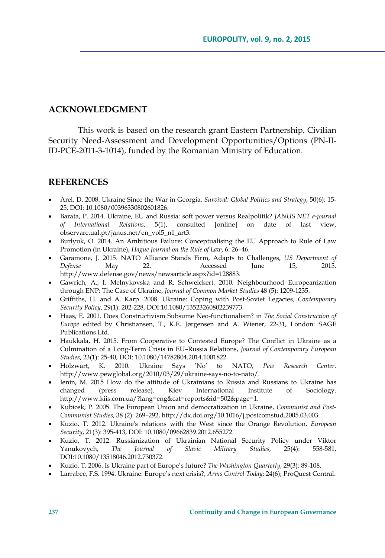### **ACKNOWLEDGMENT**

This work is based on the research grant Eastern Partnership. Civilian Security Need-Assessment and Development Opportunities/Options (PN-II-ID-PCE-2011-3-1014), funded by the Romanian Ministry of Education.

### **REFERENCES**

- Arel, D. 2008. Ukraine Since the War in Georgia, *Survival: Global Politics and Strategy*, 50(6): 15- 25, DOI: 10.1080/00396330802601826.
- Barata, P. 2014. Ukraine, EU and Russia: soft power versus Realpolitik? *JANUS.NET e-journal of International Relations*, 5(1), consulted [online] on date of last view, observare.ual.pt/janus.net/en\_vol5\_n1\_art3.
- Burlyuk, O. 2014. An Ambitious Failure: Conceptualising the EU Approach to Rule of Law Promotion (in Ukraine), *Hague Journal on the Rule of Law*, 6: 26–46.
- Garamone, J. 2015. NATO Alliance Stands Firm, Adapts to Challenges, *US Department of Defense* May 22. Accessed June 15, 2015. http://www.defense.gov/news/newsarticle.aspx?id=128883.
- Gawrich, A., I. Melnykovska and R. Schweickert. 2010. Neighbourhood Europeanization through ENP: The Case of Ukraine, *Journal of Common Market Studies* 48 (5): 1209-1235.
- Griffiths, H. and A. Karp. 2008. Ukraine: Coping with Post-Soviet Legacies, *Contemporary Security Policy*, 29(1): 202-228, DOI:10.1080/13523260802239773.
- Haas, E. 2001. Does Constructivism Subsume Neo-functionalism? in *The Social Construction of Europe* edited by Christiansen, T., K.E. Jørgensen and A. Wiener, 22-31, London: SAGE Publications Ltd.
- Haukkala, H. 2015. From Cooperative to Contested Europe? The Conflict in Ukraine as a Culmination of a Long-Term Crisis in EU–Russia Relations, *Journal of Contemporary European Studies*, 23(1): 25-40, DOI: 10.1080/14782804.2014.1001822.
- Holzwart, K. 2010. Ukraine Says 'No' to NATO, *Pew Research Center*. http://www.pewglobal.org/2010/03/29/ukraine-says-no-to-nato/.
- Ienin, M. 2015 How do the attitude of Ukrainians to Russia and Russians to Ukraine has changed (press release). Kiev International Institute of Sociology. http://www.kiis.com.ua/?lang=eng&cat=reports&id=502&page=1.
- Kubicek, P. 2005. The European Union and democratization in Ukraine, *Communist and Post-Communist Studies*, 38 (2): 269–292, http://dx.doi.org/10.1016/j.postcomstud.2005.03.003.
- Kuzio, T. 2012. Ukraine's relations with the West since the Orange Revolution, *European Security*, 21(3): 395-413, DOI: 10.1080/09662839.2012.655272.
- Kuzio, T. 2012. Russianization of Ukrainian National Security Policy under Viktor Yanukovych, *The Journal of Slavic Military Studies*, 25(4): 558-581, DOI:10.1080/13518046.2012.730372.
- Kuzio, T. 2006. Is Ukraine part of Europe's future? *The Washington Quarterly*, 29(3): 89-108.
- Larrabee, F.S. 1994. Ukraine: Europe's next crisis?, *Arms Control Today*; 24(6); ProQuest Central.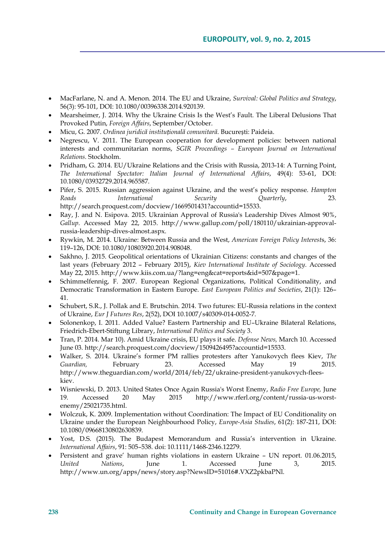- MacFarlane, N. and A. Menon. 2014. The EU and Ukraine, *Survival: Global Politics and Strategy*, 56(3): 95-101, DOI: 10.1080/00396338.2014.920139.
- Mearsheimer, J. 2014. Why the Ukraine Crisis Is the West's Fault. The Liberal Delusions That Provoked Putin, *Foreign Affairs*, September/October.
- Micu, G. 2007. *Ordinea juridică instituțională comunitară*. București: Paideia.
- Negrescu, V. 2011. The European cooperation for development policies: between national interests and communitarian norms, *SGIR Proceedings – European Journal on International Relations.* Stockholm.
- Pridham, G. 2014. EU/Ukraine Relations and the Crisis with Russia, 2013-14: A Turning Point, *The International Spectator: Italian Journal of International Affairs*, 49(4): 53-61, DOI: 10.1080/03932729.2014.965587.
- Pifer, S. 2015. Russian aggression against Ukraine, and the west's policy response. *Hampton Roads International Security Quarterly*, 23. http://search.proquest.com/docview/1669501431?accountid=15533.
- Ray, J. and N. Esipova. 2015. Ukrainian Approval of Russia's Leadership Dives Almost 90%, *Gallup*. Accessed May 22, 2015. http://www.gallup.com/poll/180110/ukrainian-approvalrussia-leadership-dives-almost.aspx.
- Rywkin, M. 2014. Ukraine: Between Russia and the West, *American Foreign Policy Interest*s, 36: 119–126, DOI: 10.1080/10803920.2014.908048.
- Sakhno, J. 2015. Geopolitical orientations of Ukrainian Citizens: constants and changes of the last years (February 2012 – February 2015), *Kiev International Institute of Sociology*. Accessed May 22, 2015. http://www.kiis.com.ua/?lang=eng&cat=reports&id=507&page=1.
- Schimmelfennig, F. 2007. European Regional Organizations, Political Conditionality, and Democratic Transformation in Eastern Europe. *East European Politics and Societies*, 21(1): 126– 41.
- Schubert, S.R., J. Pollak and E. Brutschin. 2014. Two futures: EU-Russia relations in the context of Ukraine, *Eur J Futures Res*, 2(52), DOI 10.1007/s40309-014-0052-7.
- Solonenkop, I. 2011. Added Value? Eastern Partnership and EU–Ukraine Bilateral Relations, Friedrich-Ebert-Stiftung Library, *International Politics and Society* 3.
- Tran, P. 2014. Mar 10). Amid Ukraine crisis, EU plays it safe. *Defense News,* March 10. Accessed June 03. http://search.proquest.com/docview/1509426495?accountid=15533.
- Walker, S. 2014. Ukraine's former PM rallies protesters after Yanukovych flees Kiev, *The Guardian,* February 23. Accessed May 19 2015. http://www.theguardian.com/world/2014/feb/22/ukraine-president-yanukovych-fleeskiev.
- Wisniewski, D. 2013. United States Once Again Russia's Worst Enemy, *Radio Free Europe,* June 19. Accessed 20 May 2015 http://www.rferl.org/content/russia-us-worstenemy/25021735.html.
- Wolczuk, K. 2009. Implementation without Coordination: The Impact of EU Conditionality on Ukraine under the European Neighbourhood Policy, *Europe-Asia Studies*, 61(2): 187-211, DOI: 10.1080/09668130802630839.
- Yost, D.S. (2015). The Budapest Memorandum and Russia's intervention in Ukraine. *International Affairs*, 91: 505–538. doi: 10.1111/1468-2346.12279.
- Persistent and grave' human rights violations in eastern Ukraine UN report. 01.06.2015, *United Nations*, June 1. Accessed June 3, 2015. http://www.un.org/apps/news/story.asp?NewsID=51016#.VXZ2pkbaPNl.